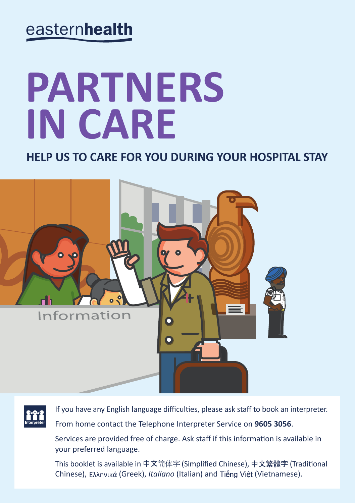# easternhealth

# **PARTNERS IN CARE**

**HELP US TO CARE FOR YOU DURING YOUR HOSPITAL STAY** 





If you have any English language difficulties, please ask staff to book an interpreter. From home contact the Telephone Interpreter Service on **9605 3056**.

Services are provided free of charge. Ask staff if this information is available in your preferred language.

This booklet is available in 中文简体字 (Simplified Chinese), 中文繁體字 (Traditional Chinese), Ελληνικά (Greek), *Italiano* (Italian) and Tiếng Viêt (Vietnamese).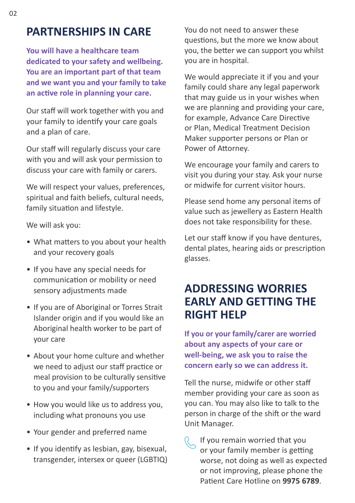#### **PARTNERSHIPS IN CARE**

**You will have a healthcare team dedicated to your safety and wellbeing. You are an important part of that team and we want you and your family to take an active role in planning your care.**

Our staff will work together with you and your family to identify your care goals and a plan of care.

Our staff will regularly discuss your care with you and will ask your permission to discuss your care with family or carers.

We will respect your values, preferences, spiritual and faith beliefs, cultural needs, family situation and lifestyle.

We will ask you:

- What matters to you about your health and your recovery goals
- If you have any special needs for communication or mobility or need sensory adjustments made
- If you are of Aboriginal or Torres Strait Islander origin and if you would like an Aboriginal health worker to be part of your care
- About your home culture and whether we need to adjust our staff practice or meal provision to be culturally sensitive to you and your family/supporters
- How you would like us to address you, including what pronouns you use
- Your gender and preferred name
- If you identify as lesbian, gay, bisexual, transgender, intersex or queer (LGBTIQ)

You do not need to answer these questions, but the more we know about you, the better we can support you whilst you are in hospital.

We would appreciate it if you and your family could share any legal paperwork that may guide us in your wishes when we are planning and providing your care, for example, Advance Care Directive or Plan, Medical Treatment Decision Maker supporter persons or Plan or Power of Attorney.

We encourage your family and carers to visit you during your stay. Ask your nurse or midwife for current visitor hours.

Please send home any personal items of value such as jewellery as Eastern Health does not take responsibility for these.

Let our staff know if you have dentures, dental plates, hearing aids or prescription glasses.

#### **ADDRESSING WORRIES EARLY AND GETTING THE RIGHT HELP**

**If you or your family/carer are worried about any aspects of your care or well-being, we ask you to raise the concern early so we can address it.** 

Tell the nurse, midwife or other staff member providing your care as soon as you can. You may also like to talk to the person in charge of the shift or the ward Unit Manager.

If you remain worried that you or your family member is getting worse, not doing as well as expected or not improving, please phone the Patient Care Hotline on **9975 6789**.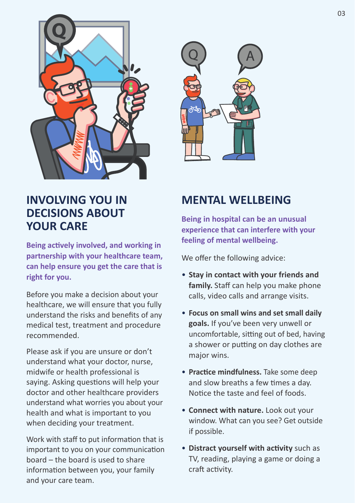



**Being actively involved, and working in partnership with your healthcare team, can help ensure you get the care that is right for you.**

Before you make a decision about your healthcare, we will ensure that you fully understand the risks and benefits of any medical test, treatment and procedure recommended.

Please ask if you are unsure or don't understand what your doctor, nurse, midwife or health professional is saying. Asking questions will help your doctor and other healthcare providers understand what worries you about your health and what is important to you when deciding your treatment.

Work with staff to put information that is important to you on your communication board – the board is used to share information between you, your family and your care team.



### **MENTAL WELLBEING**

**Being in hospital can be an unusual experience that can interfere with your feeling of mental wellbeing.** 

We offer the following advice:

- **Stay in contact with your friends and family.** Staff can help you make phone calls, video calls and arrange visits.
- **Focus on small wins and set small daily goals.** If you've been very unwell or uncomfortable, sitting out of bed, having a shower or putting on day clothes are major wins.
- **Practice mindfulness.** Take some deep and slow breaths a few times a day. Notice the taste and feel of foods.
- **Connect with nature.** Look out your window. What can you see? Get outside if possible.
- **Distract yourself with activity** such as TV, reading, playing a game or doing a craft activity.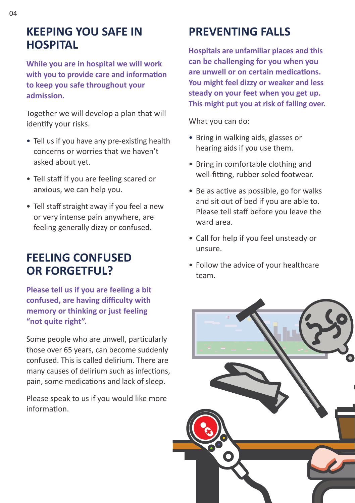#### **KEEPING YOU SAFE IN HOSPITAL**

**While you are in hospital we will work with you to provide care and information to keep you safe throughout your admission.** 

Together we will develop a plan that will identify your risks.

- Tell us if you have any pre-existing health concerns or worries that we haven't asked about yet.
- Tell staff if you are feeling scared or anxious, we can help you.
- Tell staff straight away if you feel a new or very intense pain anywhere, are feeling generally dizzy or confused.

### **FEELING CONFUSED OR FORGETFUL?**

**Please tell us if you are feeling a bit confused, are having difficulty with memory or thinking or just feeling "not quite right".** 

Some people who are unwell, particularly those over 65 years, can become suddenly confused. This is called delirium. There are many causes of delirium such as infections, pain, some medications and lack of sleep.

Please speak to us if you would like more information.

# **PREVENTING FALLS**

**Hospitals are unfamiliar places and this can be challenging for you when you are unwell or on certain medications. You might feel dizzy or weaker and less steady on your feet when you get up. This might put you at risk of falling over.**

What you can do:

- Bring in walking aids, glasses or hearing aids if you use them.
- Bring in comfortable clothing and well-fitting, rubber soled footwear.
- Be as active as possible, go for walks and sit out of bed if you are able to. Please tell staff before you leave the ward area.
- Call for help if you feel unsteady or unsure.
- Follow the advice of your healthcare team.

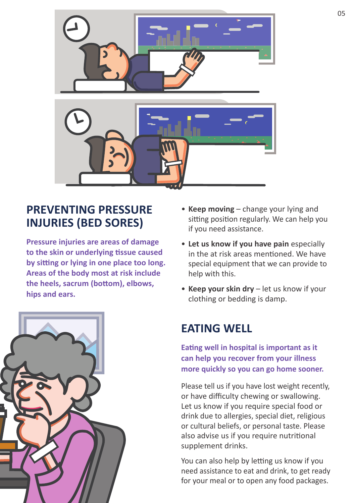

# **PREVENTING PRESSURE INJURIES (BED SORES)**

**Pressure injuries are areas of damage to the skin or underlying tissue caused by sitting or lying in one place too long. Areas of the body most at risk include the heels, sacrum (bottom), elbows, hips and ears.**

![](_page_4_Picture_3.jpeg)

- **Keep moving** change your lying and sitting position regularly. We can help you if you need assistance.
- **Let us know if you have pain** especially in the at risk areas mentioned. We have special equipment that we can provide to help with this.
- **Keep your skin dry** let us know if your clothing or bedding is damp.

# **EATING WELL**

**Eating well in hospital is important as it can help you recover from your illness more quickly so you can go home sooner.**

Please tell us if you have lost weight recently, or have difficulty chewing or swallowing. Let us know if you require special food or drink due to allergies, special diet, religious or cultural beliefs, or personal taste. Please also advise us if you require nutritional supplement drinks.

You can also help by letting us know if you need assistance to eat and drink, to get ready for your meal or to open any food packages.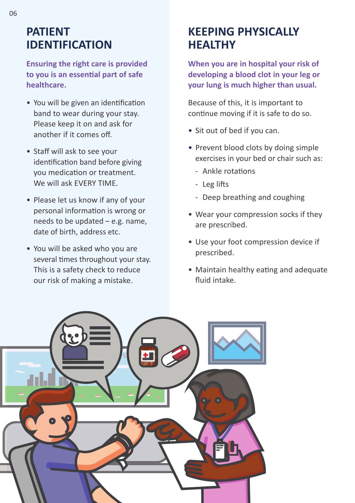#### **PATIENT IDENTIFICATION**

**Ensuring the right care is provided to you is an essential part of safe healthcare.**

- You will be given an identification band to wear during your stay. Please keep it on and ask for another if it comes off.
- Staff will ask to see your identification band before giving you medication or treatment. We will ask EVERY TIME.
- Please let us know if any of your personal information is wrong or needs to be updated – e.g. name, date of birth, address etc.
- You will be asked who you are several times throughout your stay. This is a safety check to reduce our risk of making a mistake.

# **KEEPING PHYSICALLY HEALTHY**

**When you are in hospital your risk of developing a blood clot in your leg or your lung is much higher than usual.** 

Because of this, it is important to continue moving if it is safe to do so.

- Sit out of bed if you can.
- Prevent blood clots by doing simple exercises in your bed or chair such as:
	- Ankle rotations
	- Leg lifts
	- Deep breathing and coughing
- Wear your compression socks if they are prescribed.
- Use your foot compression device if prescribed.
- Maintain healthy eating and adequate fluid intake.

![](_page_5_Picture_17.jpeg)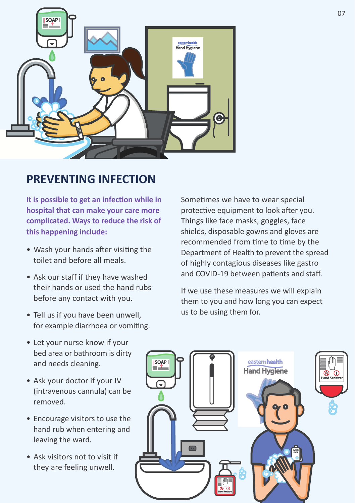![](_page_6_Picture_0.jpeg)

#### **PREVENTING INFECTION**

**It is possible to get an infection while in hospital that can make your care more complicated. Ways to reduce the risk of this happening include:**

- Wash your hands after visiting the toilet and before all meals.
- Ask our staff if they have washed their hands or used the hand rubs before any contact with you.
- Tell us if you have been unwell, for example diarrhoea or vomiting.

Sometimes we have to wear special protective equipment to look after you. Things like face masks, goggles, face shields, disposable gowns and gloves are recommended from time to time by the Department of Health to prevent the spread of highly contagious diseases like gastro and COVID-19 between patients and staff.

If we use these measures we will explain them to you and how long you can expect us to be using them for.

- Let your nurse know if your bed area or bathroom is dirty and needs cleaning.
- Ask your doctor if your IV (intravenous cannula) can be removed.
- Encourage visitors to use the hand rub when entering and leaving the ward.
- Ask visitors not to visit if they are feeling unwell.

![](_page_6_Picture_12.jpeg)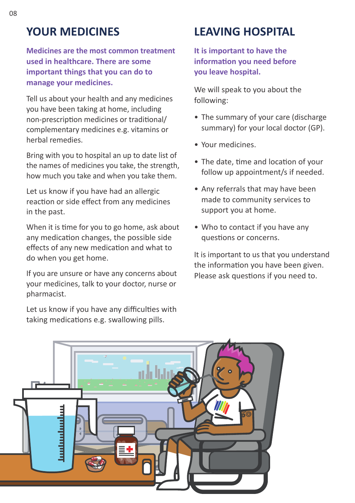### **YOUR MEDICINES**

**Medicines are the most common treatment used in healthcare. There are some important things that you can do to manage your medicines.**

Tell us about your health and any medicines you have been taking at home, including non-prescription medicines or traditional/ complementary medicines e.g. vitamins or herbal remedies.

Bring with you to hospital an up to date list of the names of medicines you take, the strength, how much you take and when you take them.

Let us know if you have had an allergic reaction or side effect from any medicines in the past.

When it is time for you to go home, ask about any medication changes, the possible side effects of any new medication and what to do when you get home.

If you are unsure or have any concerns about your medicines, talk to your doctor, nurse or pharmacist.

Let us know if you have any difficulties with taking medications e.g. swallowing pills.

# **LEAVING HOSPITAL**

**It is important to have the information you need before you leave hospital.** 

We will speak to you about the following:

- The summary of your care (discharge summary) for your local doctor (GP).
- Your medicines.
- The date, time and location of your follow up appointment/s if needed.
- Any referrals that may have been made to community services to support you at home.
- Who to contact if you have any questions or concerns.

It is important to us that you understand the information you have been given. Please ask questions if you need to.

![](_page_7_Picture_17.jpeg)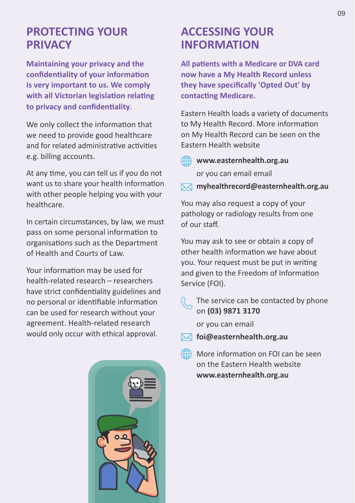#### **PROTECTING YOUR PRIVACY**

**Maintaining your privacy and the confidentiality of your information is very important to us. We comply with all Victorian legislation relating to privacy and confidentiality**.

We only collect the information that we need to provide good healthcare and for related administrative activities e.g. billing accounts.

At any time, you can tell us if you do not want us to share your health information with other people helping you with your healthcare.

In certain circumstances, by law, we must pass on some personal information to organisations such as the Department of Health and Courts of Law.

Your information may be used for health-related research – researchers have strict confidentiality guidelines and no personal or identifiable information can be used for research without your agreement. Health-related research would only occur with ethical approval.

![](_page_8_Picture_6.jpeg)

#### **ACCESSING YOUR INFORMATION**

**All patients with a Medicare or DVA card now have a My Health Record unless they have specifically 'Opted Out' by contacting Medicare.** 

Eastern Health loads a variety of documents to My Health Record. More information on My Health Record can be seen on the Eastern Health website

- **www.easternhealth.org.au**  or you can email email
- **myhealthrecord@easternhealth.org.au**

You may also request a copy of your pathology or radiology results from one of our staff.

You may ask to see or obtain a copy of other health information we have about you. Your request must be put in writing and given to the Freedom of Information Service (FOI).

- 
- The service can be contacted by phone on **(03) 9871 3170**

or you can email

- **foi@easternhealth.org.au**
- More information on FOI can be seen on the Eastern Health website **www.easternhealth.org.au**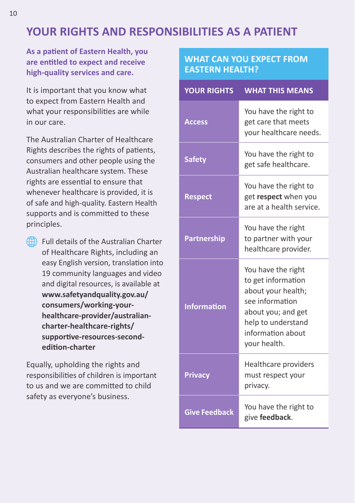## **YOUR RIGHTS AND RESPONSIBILITIES AS A PATIENT**

**As a patient of Eastern Health, you are entitled to expect and receive high-quality services and care.** 

It is important that you know what to expect from Eastern Health and what your responsibilities are while in our care.

The Australian Charter of Healthcare Rights describes the rights of patients, consumers and other people using the Australian healthcare system. These rights are essential to ensure that whenever healthcare is provided, it is of safe and high-quality. Eastern Health supports and is committed to these principles.

Full details of the Australian Charter of Healthcare Rights, including an easy English version, translation into 19 community languages and video and digital resources, is available at **www.safetyandquality.gov.au/ consumers/working-yourhealthcare-provider/australiancharter-healthcare-rights/ supportive-resources-secondedition-charter**

Equally, upholding the rights and responsibilities of children is important to us and we are committed to child safety as everyone's business.

#### **WHAT CAN YOU EXPECT FROM EASTERN HEALTH?**

| <b>YOUR RIGHTS</b>   | <b>WHAT THIS MEANS</b>                                                                                                                                             |
|----------------------|--------------------------------------------------------------------------------------------------------------------------------------------------------------------|
| <b>Access</b>        | You have the right to<br>get care that meets<br>your healthcare needs.                                                                                             |
| <b>Safety</b>        | You have the right to<br>get safe healthcare.                                                                                                                      |
| <b>Respect</b>       | You have the right to<br>get respect when you<br>are at a health service.                                                                                          |
| <b>Partnership</b>   | You have the right<br>to partner with your<br>healthcare provider.                                                                                                 |
| <b>Information</b>   | You have the right<br>to get information<br>about your health;<br>see information<br>about you; and get<br>help to understand<br>information about<br>your health. |
| <b>Privacy</b>       | Healthcare providers<br>must respect your<br>privacy.                                                                                                              |
| <b>Give Feedback</b> | You have the right to<br>give feedback.                                                                                                                            |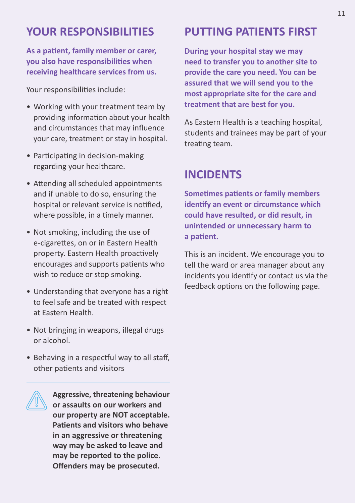#### **YOUR RESPONSIBILITIES**

**As a patient, family member or carer, you also have responsibilities when receiving healthcare services from us.** 

Your responsibilities include:

- Working with your treatment team by providing information about your health and circumstances that may influence your care, treatment or stay in hospital.
- Participating in decision-making regarding your healthcare.
- Attending all scheduled appointments and if unable to do so, ensuring the hospital or relevant service is notified, where possible, in a timely manner.
- Not smoking, including the use of e-cigarettes, on or in Eastern Health property. Eastern Health proactively encourages and supports patients who wish to reduce or stop smoking.
- Understanding that everyone has a right to feel safe and be treated with respect at Eastern Health.
- Not bringing in weapons, illegal drugs or alcohol.
- Behaving in a respectful way to all staff, other patients and visitors

**Aggressive, threatening behaviour or assaults on our workers and our property are NOT acceptable. Patients and visitors who behave in an aggressive or threatening way may be asked to leave and may be reported to the police. Offenders may be prosecuted.**

#### **PUTTING PATIENTS FIRST**

**During your hospital stay we may need to transfer you to another site to provide the care you need. You can be assured that we will send you to the most appropriate site for the care and treatment that are best for you.** 

As Eastern Health is a teaching hospital, students and trainees may be part of your treating team.

#### **INCIDENTS**

**Sometimes patients or family members identify an event or circumstance which could have resulted, or did result, in unintended or unnecessary harm to a patient.** 

This is an incident. We encourage you to tell the ward or area manager about any incidents you identify or contact us via the feedback options on the following page.